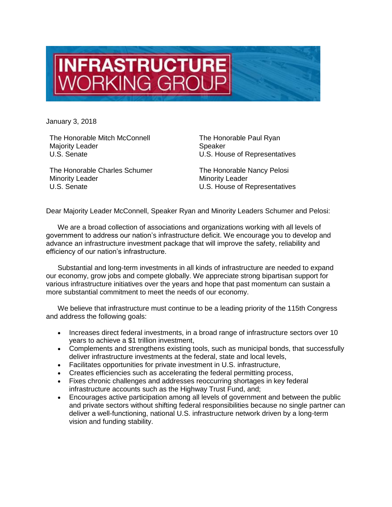

January 3, 2018

The Honorable Mitch McConnell Majority Leader U.S. Senate

The Honorable Charles Schumer Minority Leader U.S. Senate

The Honorable Paul Ryan Speaker U.S. House of Representatives

The Honorable Nancy Pelosi Minority Leader U.S. House of Representatives

Dear Majority Leader McConnell, Speaker Ryan and Minority Leaders Schumer and Pelosi:

We are a broad collection of associations and organizations working with all levels of government to address our nation's infrastructure deficit. We encourage you to develop and advance an infrastructure investment package that will improve the safety, reliability and efficiency of our nation's infrastructure.

Substantial and long-term investments in all kinds of infrastructure are needed to expand our economy, grow jobs and compete globally. We appreciate strong bipartisan support for various infrastructure initiatives over the years and hope that past momentum can sustain a more substantial commitment to meet the needs of our economy.

We believe that infrastructure must continue to be a leading priority of the 115th Congress and address the following goals:

- Increases direct federal investments, in a broad range of infrastructure sectors over 10 years to achieve a \$1 trillion investment,
- Complements and strengthens existing tools, such as municipal bonds, that successfully deliver infrastructure investments at the federal, state and local levels,
- Facilitates opportunities for private investment in U.S. infrastructure,
- Creates efficiencies such as accelerating the federal permitting process,
- Fixes chronic challenges and addresses reoccurring shortages in key federal infrastructure accounts such as the Highway Trust Fund, and;
- Encourages active participation among all levels of government and between the public and private sectors without shifting federal responsibilities because no single partner can deliver a well-functioning, national U.S. infrastructure network driven by a long-term vision and funding stability.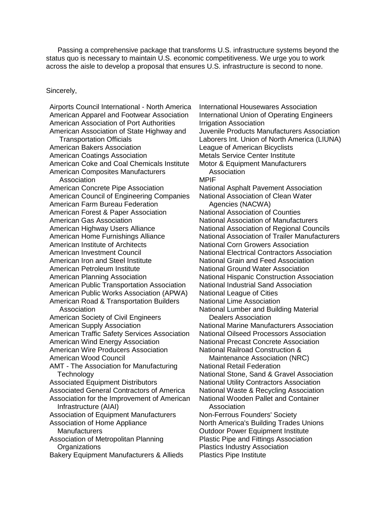Passing a comprehensive package that transforms U.S. infrastructure systems beyond the status quo is necessary to maintain U.S. economic competitiveness. We urge you to work across the aisle to develop a proposal that ensures U.S. infrastructure is second to none.

Sincerely,

Airports Council International - North America American Apparel and Footwear Association American Association of Port Authorities American Association of State Highway and Transportation Officials American Bakers Association American Coatings Association American Coke and Coal Chemicals Institute American Composites Manufacturers Association American Concrete Pipe Association American Council of Engineering Companies American Farm Bureau Federation American Forest & Paper Association American Gas Association American Highway Users Alliance American Home Furnishings Alliance American Institute of Architects American Investment Council American Iron and Steel Institute American Petroleum Institute American Planning Association American Public Transportation Association American Public Works Association (APWA) American Road & Transportation Builders Association American Society of Civil Engineers American Supply Association American Traffic Safety Services Association American Wind Energy Association American Wire Producers Association American Wood Council AMT - The Association for Manufacturing **Technology** Associated Equipment Distributors Associated General Contractors of America Association for the Improvement of American Infrastructure (AIAI) Association of Equipment Manufacturers Association of Home Appliance **Manufacturers** Association of Metropolitan Planning **Organizations** Bakery Equipment Manufacturers & Allieds

International Housewares Association International Union of Operating Engineers Irrigation Association Juvenile Products Manufacturers Association Laborers Int. Union of North America (LIUNA) League of American Bicyclists Metals Service Center Institute Motor & Equipment Manufacturers **Association** MPIF National Asphalt Pavement Association National Association of Clean Water Agencies (NACWA) National Association of Counties National Association of Manufacturers National Association of Regional Councils National Association of Trailer Manufacturers National Corn Growers Association National Electrical Contractors Association National Grain and Feed Association National Ground Water Association National Hispanic Construction Association National Industrial Sand Association National League of Cities National Lime Association National Lumber and Building Material Dealers Association National Marine Manufacturers Association National Oilseed Processors Association National Precast Concrete Association National Railroad Construction & Maintenance Association (NRC) National Retail Federation National Stone, Sand & Gravel Association National Utility Contractors Association National Waste & Recycling Association National Wooden Pallet and Container Association Non-Ferrous Founders' Society North America's Building Trades Unions Outdoor Power Equipment Institute Plastic Pipe and Fittings Association Plastics Industry Association

Plastics Pipe Institute